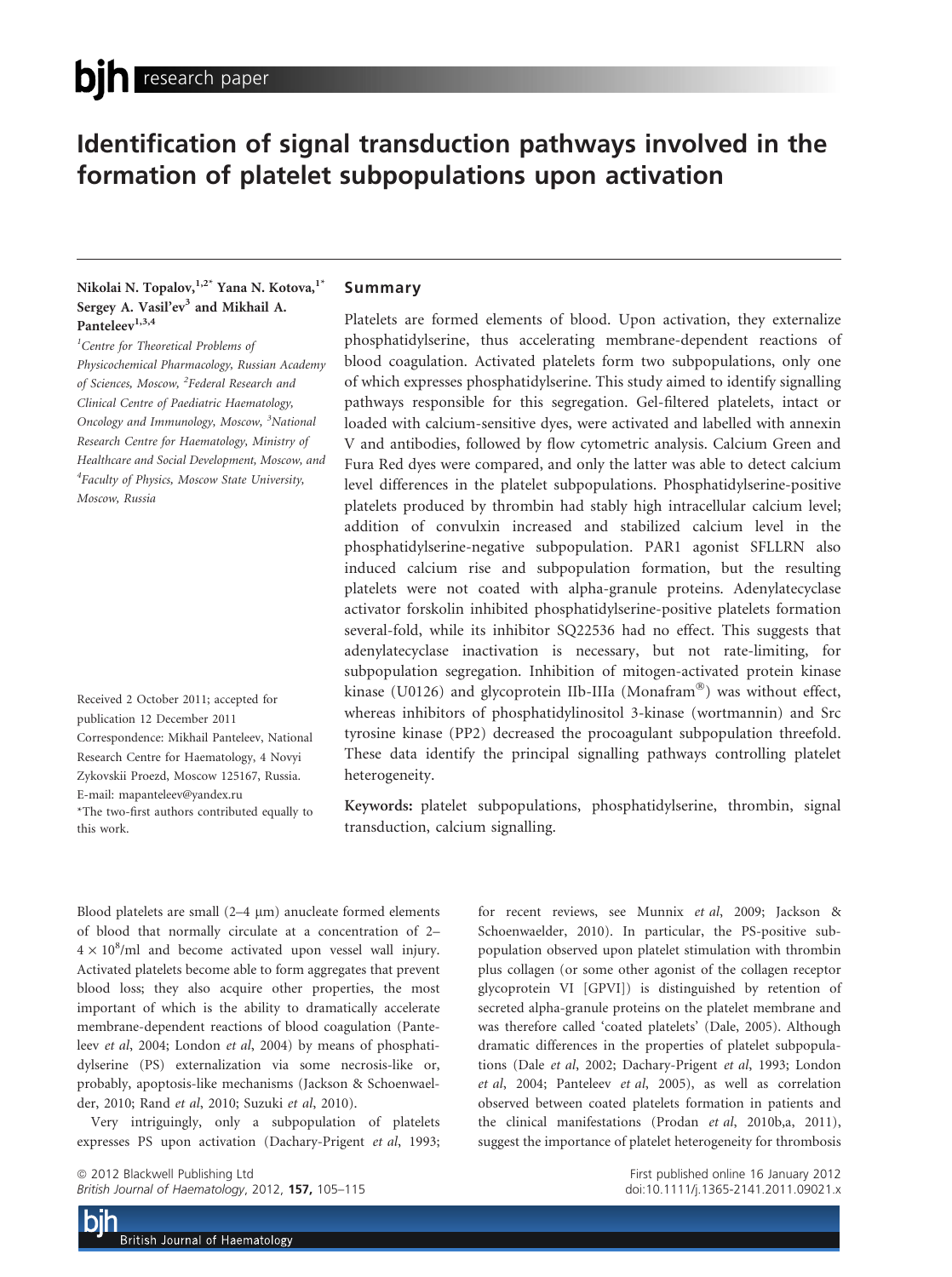# Identification of signal transduction pathways involved in the formation of platelet subpopulations upon activation

# Nikolai N. Topalov, 1,2\* Yana N. Kotova, 1\* Sergey A. Vasil'ev<sup>3</sup> and Mikhail A. Panteleev<sup>1,3,4</sup>

<sup>1</sup>Centre for Theoretical Problems of Physicochemical Pharmacology, Russian Academy of Sciences, Moscow, <sup>2</sup>Federal Research and Clinical Centre of Paediatric Haematology, Oncology and Immunology, Moscow, <sup>3</sup>National Research Centre for Haematology, Ministry of Healthcare and Social Development, Moscow, and 4 Faculty of Physics, Moscow State University, Moscow, Russia

# Summary

Platelets are formed elements of blood. Upon activation, they externalize phosphatidylserine, thus accelerating membrane-dependent reactions of blood coagulation. Activated platelets form two subpopulations, only one of which expresses phosphatidylserine. This study aimed to identify signalling pathways responsible for this segregation. Gel-filtered platelets, intact or loaded with calcium-sensitive dyes, were activated and labelled with annexin V and antibodies, followed by flow cytometric analysis. Calcium Green and Fura Red dyes were compared, and only the latter was able to detect calcium level differences in the platelet subpopulations. Phosphatidylserine-positive platelets produced by thrombin had stably high intracellular calcium level; addition of convulxin increased and stabilized calcium level in the phosphatidylserine-negative subpopulation. PAR1 agonist SFLLRN also induced calcium rise and subpopulation formation, but the resulting platelets were not coated with alpha-granule proteins. Adenylatecyclase activator forskolin inhibited phosphatidylserine-positive platelets formation several-fold, while its inhibitor SQ22536 had no effect. This suggests that adenylatecyclase inactivation is necessary, but not rate-limiting, for subpopulation segregation. Inhibition of mitogen-activated protein kinase kinase (U0126) and glycoprotein IIb-IIIa (Monafram®) was without effect, whereas inhibitors of phosphatidylinositol 3-kinase (wortmannin) and Src tyrosine kinase (PP2) decreased the procoagulant subpopulation threefold. These data identify the principal signalling pathways controlling platelet heterogeneity.

Keywords: platelet subpopulations, phosphatidylserine, thrombin, signal transduction, calcium signalling.

Blood platelets are small  $(2-4 \text{ um})$  anucleate formed elements of blood that normally circulate at a concentration of 2–  $4 \times 10^8$ /ml and become activated upon vessel wall injury. Activated platelets become able to form aggregates that prevent blood loss; they also acquire other properties, the most important of which is the ability to dramatically accelerate membrane-dependent reactions of blood coagulation (Panteleev et al, 2004; London et al, 2004) by means of phosphatidylserine (PS) externalization via some necrosis-like or, probably, apoptosis-like mechanisms (Jackson & Schoenwaelder, 2010; Rand et al, 2010; Suzuki et al, 2010).

Very intriguingly, only a subpopulation of platelets expresses PS upon activation (Dachary-Prigent et al, 1993;

ª 2012 Blackwell Publishing Ltd First published online 16 January 2012 British Journal of Haematology, 2012, 157, 105-115 doi:10.1111/j.1365-2141.2011.09021.x

for recent reviews, see Munnix et al, 2009; Jackson & Schoenwaelder, 2010). In particular, the PS-positive subpopulation observed upon platelet stimulation with thrombin plus collagen (or some other agonist of the collagen receptor glycoprotein VI [GPVI]) is distinguished by retention of secreted alpha-granule proteins on the platelet membrane and was therefore called 'coated platelets' (Dale, 2005). Although dramatic differences in the properties of platelet subpopulations (Dale et al, 2002; Dachary-Prigent et al, 1993; London et al, 2004; Panteleev et al, 2005), as well as correlation observed between coated platelets formation in patients and the clinical manifestations (Prodan et al, 2010b,a, 2011), suggest the importance of platelet heterogeneity for thrombosis

Received 2 October 2011; accepted for publication 12 December 2011 Correspondence: Mikhail Panteleev, National Research Centre for Haematology, 4 Novyi Zykovskii Proezd, Moscow 125167, Russia. E-mail: mapanteleev@yandex.ru \*The two-first authors contributed equally to this work.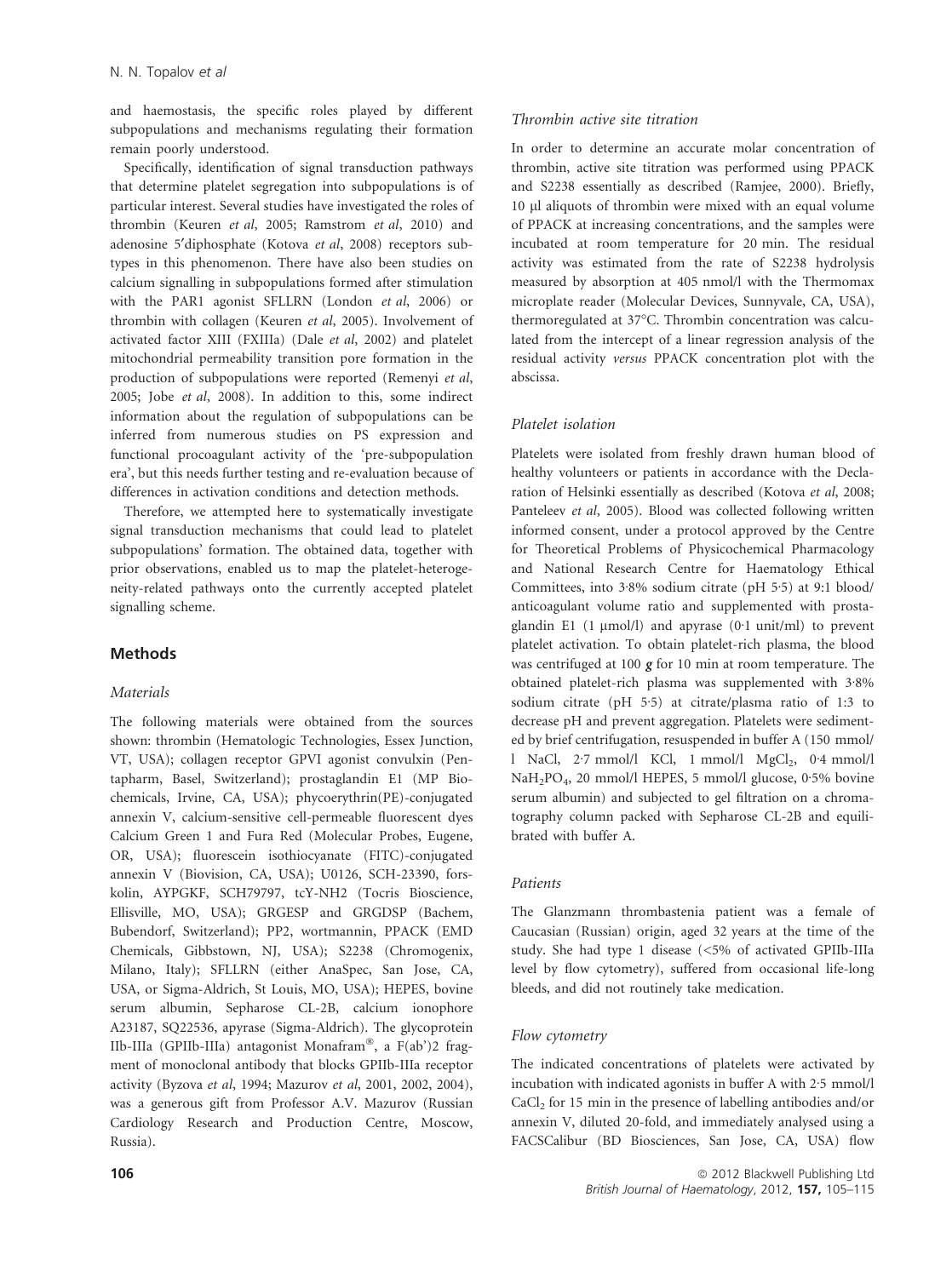and haemostasis, the specific roles played by different subpopulations and mechanisms regulating their formation remain poorly understood.

Specifically, identification of signal transduction pathways that determine platelet segregation into subpopulations is of particular interest. Several studies have investigated the roles of thrombin (Keuren et al, 2005; Ramstrom et al, 2010) and adenosine 5'diphosphate (Kotova et al, 2008) receptors subtypes in this phenomenon. There have also been studies on calcium signalling in subpopulations formed after stimulation with the PAR1 agonist SFLLRN (London et al, 2006) or thrombin with collagen (Keuren et al, 2005). Involvement of activated factor XIII (FXIIIa) (Dale et al, 2002) and platelet mitochondrial permeability transition pore formation in the production of subpopulations were reported (Remenyi et al, 2005; Jobe et al, 2008). In addition to this, some indirect information about the regulation of subpopulations can be inferred from numerous studies on PS expression and functional procoagulant activity of the 'pre-subpopulation era', but this needs further testing and re-evaluation because of differences in activation conditions and detection methods.

Therefore, we attempted here to systematically investigate signal transduction mechanisms that could lead to platelet subpopulations' formation. The obtained data, together with prior observations, enabled us to map the platelet-heterogeneity-related pathways onto the currently accepted platelet signalling scheme.

## Methods

### Materials

The following materials were obtained from the sources shown: thrombin (Hematologic Technologies, Essex Junction, VT, USA); collagen receptor GPVI agonist convulxin (Pentapharm, Basel, Switzerland); prostaglandin E1 (MP Biochemicals, Irvine, CA, USA); phycoerythrin(PE)-conjugated annexin V, calcium-sensitive cell-permeable fluorescent dyes Calcium Green 1 and Fura Red (Molecular Probes, Eugene, OR, USA); fluorescein isothiocyanate (FITC)-conjugated annexin V (Biovision, CA, USA); U0126, SCH-23390, forskolin, AYPGKF, SCH79797, tcY-NH2 (Tocris Bioscience, Ellisville, MO, USA); GRGESP and GRGDSP (Bachem, Bubendorf, Switzerland); PP2, wortmannin, PPACK (EMD Chemicals, Gibbstown, NJ, USA); S2238 (Chromogenix, Milano, Italy); SFLLRN (either AnaSpec, San Jose, CA, USA, or Sigma-Aldrich, St Louis, MO, USA); HEPES, bovine serum albumin, Sepharose CL-2B, calcium ionophore A23187, SQ22536, apyrase (Sigma-Aldrich). The glycoprotein IIb-IIIa (GPIIb-IIIa) antagonist Monafram®, a F(ab')2 fragment of monoclonal antibody that blocks GPIIb-IIIa receptor activity (Byzova et al, 1994; Mazurov et al, 2001, 2002, 2004), was a generous gift from Professor A.V. Mazurov (Russian Cardiology Research and Production Centre, Moscow, Russia).

## Thrombin active site titration

In order to determine an accurate molar concentration of thrombin, active site titration was performed using PPACK and S2238 essentially as described (Ramjee, 2000). Briefly, 10 µl aliquots of thrombin were mixed with an equal volume of PPACK at increasing concentrations, and the samples were incubated at room temperature for 20 min. The residual activity was estimated from the rate of S2238 hydrolysis measured by absorption at 405 nmol/l with the Thermomax microplate reader (Molecular Devices, Sunnyvale, CA, USA), thermoregulated at 37°C. Thrombin concentration was calculated from the intercept of a linear regression analysis of the residual activity versus PPACK concentration plot with the abscissa.

### Platelet isolation

Platelets were isolated from freshly drawn human blood of healthy volunteers or patients in accordance with the Declaration of Helsinki essentially as described (Kotova et al, 2008; Panteleev et al, 2005). Blood was collected following written informed consent, under a protocol approved by the Centre for Theoretical Problems of Physicochemical Pharmacology and National Research Centre for Haematology Ethical Committees, into  $3.8\%$  sodium citrate (pH 5.5) at 9:1 blood/ anticoagulant volume ratio and supplemented with prostaglandin E1 (1  $\mu$ mol/l) and apyrase (0.1 unit/ml) to prevent platelet activation. To obtain platelet-rich plasma, the blood was centrifuged at 100  $g$  for 10 min at room temperature. The obtained platelet-rich plasma was supplemented with 3.8% sodium citrate (pH 5.5) at citrate/plasma ratio of 1:3 to decrease pH and prevent aggregation. Platelets were sedimented by brief centrifugation, resuspended in buffer A (150 mmol/ l NaCl,  $2.7$  mmol/l KCl, 1 mmol/l MgCl<sub>2</sub>, 0.4 mmol/l  $NaH<sub>2</sub>PO<sub>4</sub>$ , 20 mmol/l HEPES, 5 mmol/l glucose, 0.5% bovine serum albumin) and subjected to gel filtration on a chromatography column packed with Sepharose CL-2B and equilibrated with buffer A.

#### Patients

The Glanzmann thrombastenia patient was a female of Caucasian (Russian) origin, aged 32 years at the time of the study. She had type 1 disease (<5% of activated GPIIb-IIIa level by flow cytometry), suffered from occasional life-long bleeds, and did not routinely take medication.

#### Flow cytometry

The indicated concentrations of platelets were activated by incubation with indicated agonists in buffer A with 2.5 mmol/l CaCl<sub>2</sub> for 15 min in the presence of labelling antibodies and/or annexin V, diluted 20-fold, and immediately analysed using a FACSCalibur (BD Biosciences, San Jose, CA, USA) flow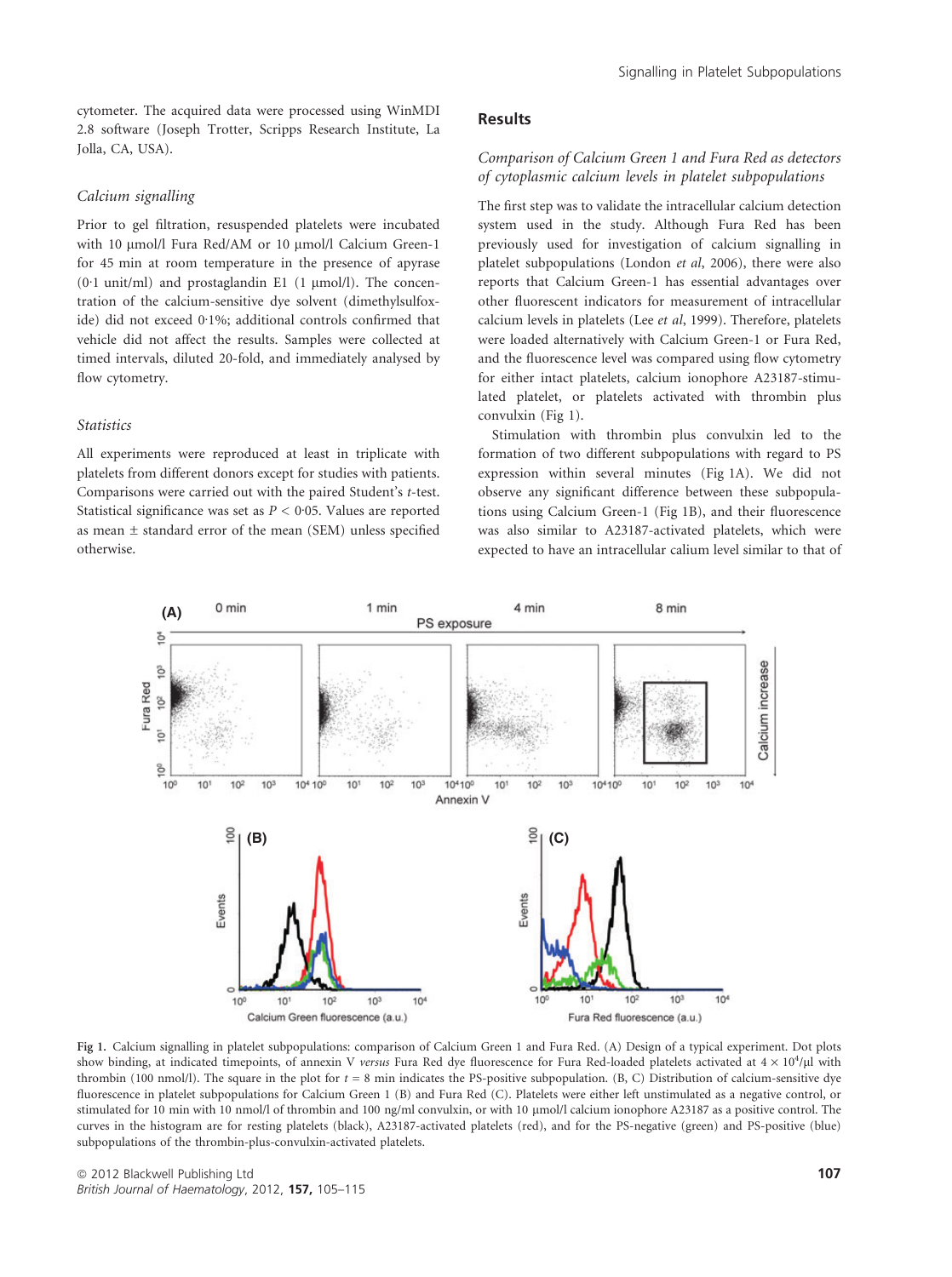cytometer. The acquired data were processed using WinMDI 2.8 software (Joseph Trotter, Scripps Research Institute, La Jolla, CA, USA).

## Calcium signalling

Prior to gel filtration, resuspended platelets were incubated with 10 µmol/l Fura Red/AM or 10 µmol/l Calcium Green-1 for 45 min at room temperature in the presence of apyrase (0.1 unit/ml) and prostaglandin E1 (1  $\mu$ mol/l). The concentration of the calcium-sensitive dye solvent (dimethylsulfoxide) did not exceed 0.1%; additional controls confirmed that vehicle did not affect the results. Samples were collected at timed intervals, diluted 20-fold, and immediately analysed by flow cytometry.

#### Statistics

All experiments were reproduced at least in triplicate with platelets from different donors except for studies with patients. Comparisons were carried out with the paired Student's t-test. Statistical significance was set as  $P < 0.05$ . Values are reported as mean ± standard error of the mean (SEM) unless specified otherwise.

## Results

## Comparison of Calcium Green 1 and Fura Red as detectors of cytoplasmic calcium levels in platelet subpopulations

The first step was to validate the intracellular calcium detection system used in the study. Although Fura Red has been previously used for investigation of calcium signalling in platelet subpopulations (London et al, 2006), there were also reports that Calcium Green-1 has essential advantages over other fluorescent indicators for measurement of intracellular calcium levels in platelets (Lee et al, 1999). Therefore, platelets were loaded alternatively with Calcium Green-1 or Fura Red, and the fluorescence level was compared using flow cytometry for either intact platelets, calcium ionophore A23187-stimulated platelet, or platelets activated with thrombin plus convulxin (Fig 1).

Stimulation with thrombin plus convulxin led to the formation of two different subpopulations with regard to PS expression within several minutes (Fig 1A). We did not observe any significant difference between these subpopulations using Calcium Green-1 (Fig 1B), and their fluorescence was also similar to A23187-activated platelets, which were expected to have an intracellular calium level similar to that of



Fig 1. Calcium signalling in platelet subpopulations: comparison of Calcium Green 1 and Fura Red. (A) Design of a typical experiment. Dot plots show binding, at indicated timepoints, of annexin V versus Fura Red dye fluorescence for Fura Red-loaded platelets activated at  $4 \times 10^4$ /µl with thrombin (100 nmol/l). The square in the plot for  $t = 8$  min indicates the PS-positive subpopulation. (B, C) Distribution of calcium-sensitive dye fluorescence in platelet subpopulations for Calcium Green 1 (B) and Fura Red (C). Platelets were either left unstimulated as a negative control, or stimulated for 10 min with 10 nmol/l of thrombin and 100 ng/ml convulxin, or with 10 µmol/l calcium ionophore A23187 as a positive control. The curves in the histogram are for resting platelets (black), A23187-activated platelets (red), and for the PS-negative (green) and PS-positive (blue) subpopulations of the thrombin-plus-convulxin-activated platelets.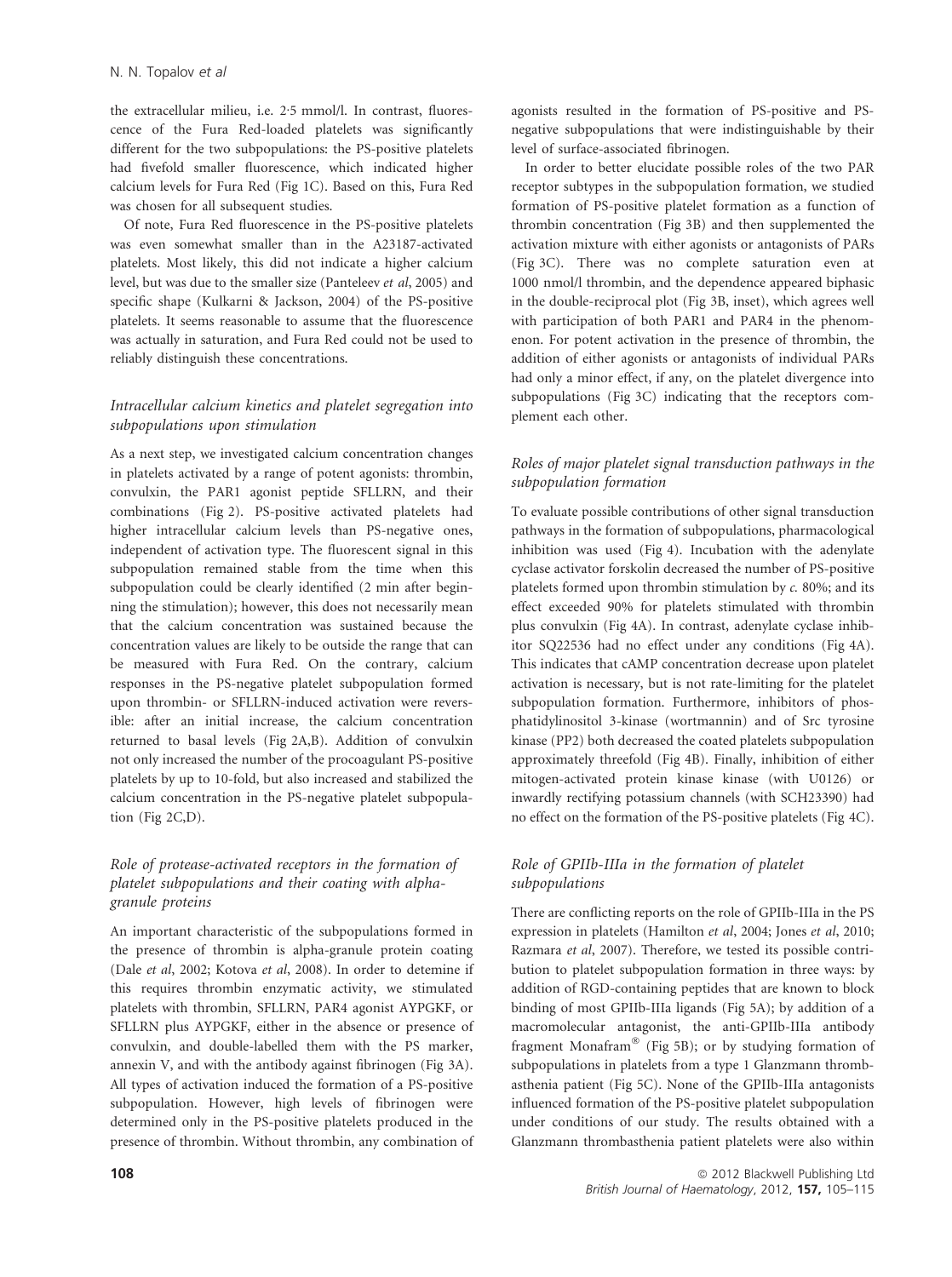the extracellular milieu, i.e. 2.5 mmol/l. In contrast, fluorescence of the Fura Red-loaded platelets was significantly different for the two subpopulations: the PS-positive platelets had fivefold smaller fluorescence, which indicated higher calcium levels for Fura Red (Fig 1C). Based on this, Fura Red was chosen for all subsequent studies.

Of note, Fura Red fluorescence in the PS-positive platelets was even somewhat smaller than in the A23187-activated platelets. Most likely, this did not indicate a higher calcium level, but was due to the smaller size (Panteleev et al, 2005) and specific shape (Kulkarni & Jackson, 2004) of the PS-positive platelets. It seems reasonable to assume that the fluorescence was actually in saturation, and Fura Red could not be used to reliably distinguish these concentrations.

## Intracellular calcium kinetics and platelet segregation into subpopulations upon stimulation

As a next step, we investigated calcium concentration changes in platelets activated by a range of potent agonists: thrombin, convulxin, the PAR1 agonist peptide SFLLRN, and their combinations (Fig 2). PS-positive activated platelets had higher intracellular calcium levels than PS-negative ones, independent of activation type. The fluorescent signal in this subpopulation remained stable from the time when this subpopulation could be clearly identified (2 min after beginning the stimulation); however, this does not necessarily mean that the calcium concentration was sustained because the concentration values are likely to be outside the range that can be measured with Fura Red. On the contrary, calcium responses in the PS-negative platelet subpopulation formed upon thrombin- or SFLLRN-induced activation were reversible: after an initial increase, the calcium concentration returned to basal levels (Fig 2A,B). Addition of convulxin not only increased the number of the procoagulant PS-positive platelets by up to 10-fold, but also increased and stabilized the calcium concentration in the PS-negative platelet subpopulation (Fig 2C,D).

# Role of protease-activated receptors in the formation of platelet subpopulations and their coating with alphagranule proteins

An important characteristic of the subpopulations formed in the presence of thrombin is alpha-granule protein coating (Dale et al, 2002; Kotova et al, 2008). In order to detemine if this requires thrombin enzymatic activity, we stimulated platelets with thrombin, SFLLRN, PAR4 agonist AYPGKF, or SFLLRN plus AYPGKF, either in the absence or presence of convulxin, and double-labelled them with the PS marker, annexin V, and with the antibody against fibrinogen (Fig 3A). All types of activation induced the formation of a PS-positive subpopulation. However, high levels of fibrinogen were determined only in the PS-positive platelets produced in the presence of thrombin. Without thrombin, any combination of agonists resulted in the formation of PS-positive and PSnegative subpopulations that were indistinguishable by their level of surface-associated fibrinogen.

In order to better elucidate possible roles of the two PAR receptor subtypes in the subpopulation formation, we studied formation of PS-positive platelet formation as a function of thrombin concentration (Fig 3B) and then supplemented the activation mixture with either agonists or antagonists of PARs (Fig 3C). There was no complete saturation even at 1000 nmol/l thrombin, and the dependence appeared biphasic in the double-reciprocal plot (Fig 3B, inset), which agrees well with participation of both PAR1 and PAR4 in the phenomenon. For potent activation in the presence of thrombin, the addition of either agonists or antagonists of individual PARs had only a minor effect, if any, on the platelet divergence into subpopulations (Fig 3C) indicating that the receptors complement each other.

# Roles of major platelet signal transduction pathways in the subpopulation formation

To evaluate possible contributions of other signal transduction pathways in the formation of subpopulations, pharmacological inhibition was used (Fig 4). Incubation with the adenylate cyclase activator forskolin decreased the number of PS-positive platelets formed upon thrombin stimulation by c. 80%; and its effect exceeded 90% for platelets stimulated with thrombin plus convulxin (Fig 4A). In contrast, adenylate cyclase inhibitor SQ22536 had no effect under any conditions (Fig 4A). This indicates that cAMP concentration decrease upon platelet activation is necessary, but is not rate-limiting for the platelet subpopulation formation. Furthermore, inhibitors of phosphatidylinositol 3-kinase (wortmannin) and of Src tyrosine kinase (PP2) both decreased the coated platelets subpopulation approximately threefold (Fig 4B). Finally, inhibition of either mitogen-activated protein kinase kinase (with U0126) or inwardly rectifying potassium channels (with SCH23390) had no effect on the formation of the PS-positive platelets (Fig 4C).

# Role of GPIIb-IIIa in the formation of platelet subpopulations

There are conflicting reports on the role of GPIIb-IIIa in the PS expression in platelets (Hamilton et al, 2004; Jones et al, 2010; Razmara et al, 2007). Therefore, we tested its possible contribution to platelet subpopulation formation in three ways: by addition of RGD-containing peptides that are known to block binding of most GPIIb-IIIa ligands (Fig 5A); by addition of a macromolecular antagonist, the anti-GPIIb-IIIa antibody fragment Monafram® (Fig 5B); or by studying formation of subpopulations in platelets from a type 1 Glanzmann thrombasthenia patient (Fig 5C). None of the GPIIb-IIIa antagonists influenced formation of the PS-positive platelet subpopulation under conditions of our study. The results obtained with a Glanzmann thrombasthenia patient platelets were also within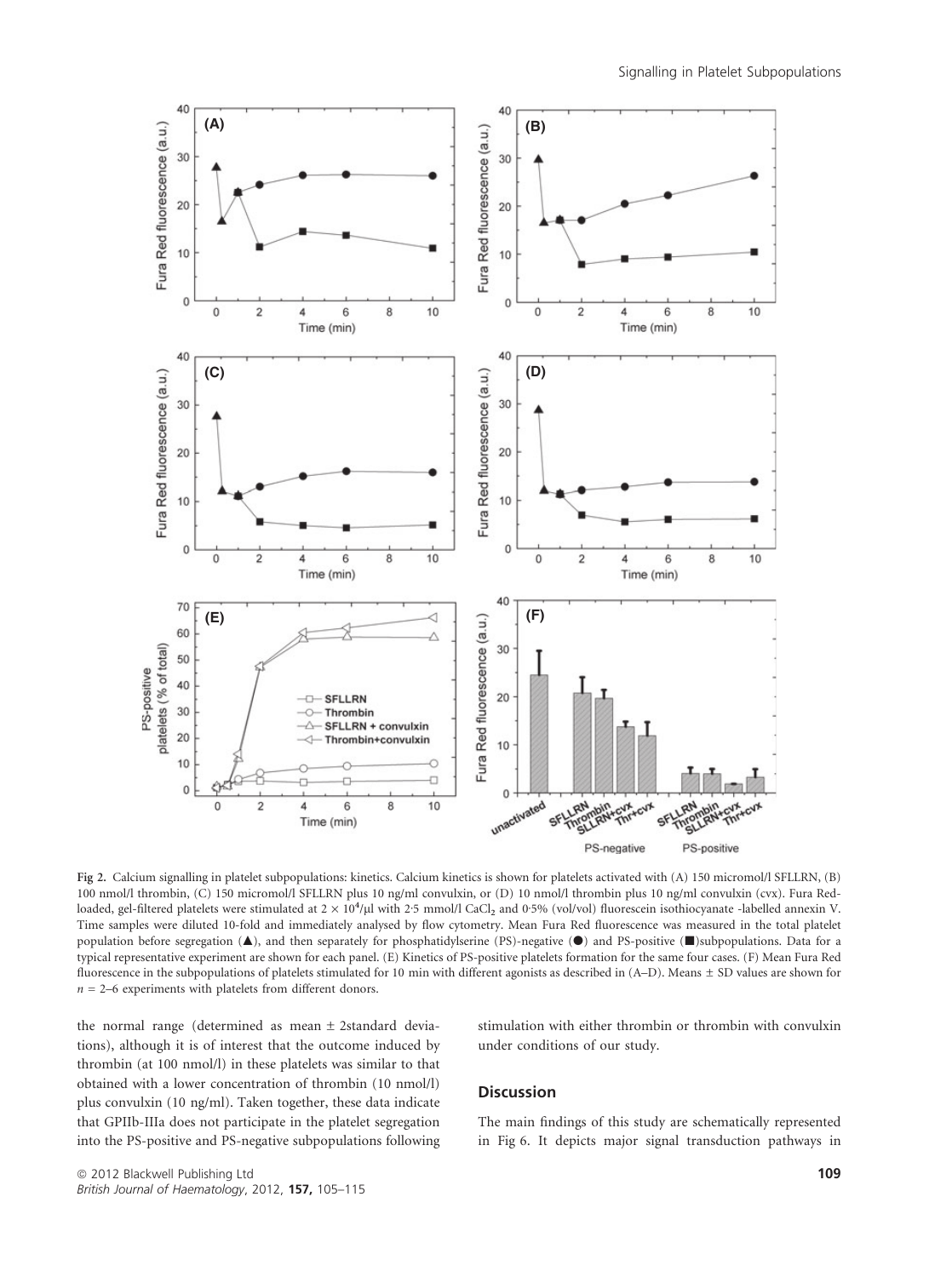

Fig 2. Calcium signalling in platelet subpopulations: kinetics. Calcium kinetics is shown for platelets activated with (A) 150 micromol/l SFLLRN, (B) 100 nmol/l thrombin, (C) 150 micromol/l SFLLRN plus 10 ng/ml convulxin, or (D) 10 nmol/l thrombin plus 10 ng/ml convulxin (cvx). Fura Redloaded, gel-filtered platelets were stimulated at  $2 \times 10^4$ /µl with 2<sup>.</sup>5 mmol/l CaCl<sub>2</sub> and 0<sup>.</sup>5% (vol/vol) fluorescein isothiocyanate -labelled annexin V. Time samples were diluted 10-fold and immediately analysed by flow cytometry. Mean Fura Red fluorescence was measured in the total platelet population before segregation  $(\triangle)$ , and then separately for phosphatidylserine (PS)-negative  $(\triangle)$  and PS-positive  $(\blacksquare)$ subpopulations. Data for a typical representative experiment are shown for each panel. (E) Kinetics of PS-positive platelets formation for the same four cases. (F) Mean Fura Red fluorescence in the subpopulations of platelets stimulated for 10 min with different agonists as described in (A–D). Means ± SD values are shown for  $n = 2-6$  experiments with platelets from different donors.

the normal range (determined as mean ± 2standard deviations), although it is of interest that the outcome induced by thrombin (at 100 nmol/l) in these platelets was similar to that obtained with a lower concentration of thrombin (10 nmol/l) plus convulxin (10 ng/ml). Taken together, these data indicate that GPIIb-IIIa does not participate in the platelet segregation into the PS-positive and PS-negative subpopulations following stimulation with either thrombin or thrombin with convulxin under conditions of our study.

## **Discussion**

The main findings of this study are schematically represented in Fig 6. It depicts major signal transduction pathways in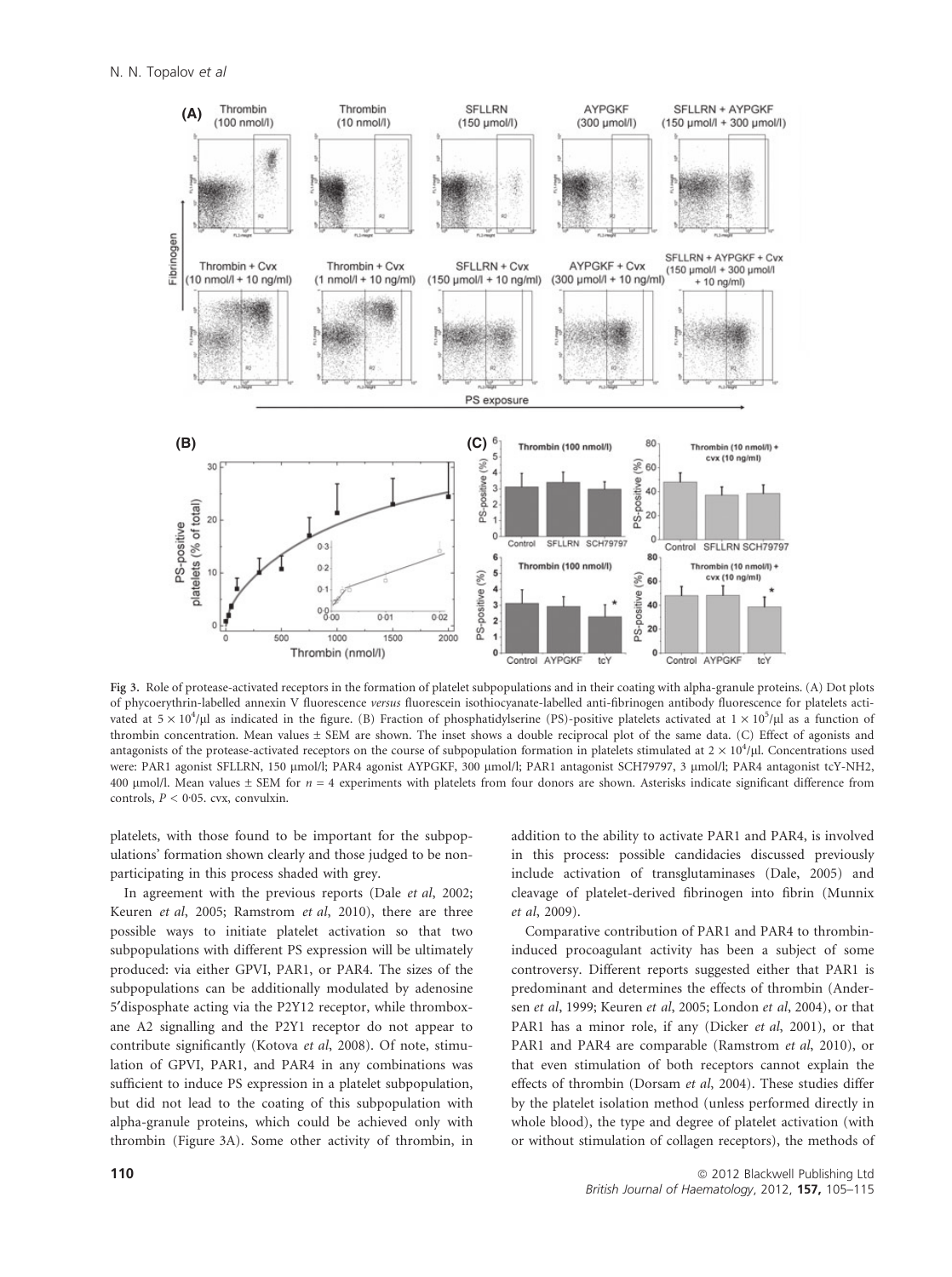

Fig 3. Role of protease-activated receptors in the formation of platelet subpopulations and in their coating with alpha-granule proteins. (A) Dot plots of phycoerythrin-labelled annexin V fluorescence versus fluorescein isothiocyanate-labelled anti-fibrinogen antibody fluorescence for platelets activated at  $5 \times 10^4$ /µ as indicated in the figure. (B) Fraction of phosphatidylserine (PS)-positive platelets activated at  $1 \times 10^5$ /µ as a function of thrombin concentration. Mean values ± SEM are shown. The inset shows a double reciprocal plot of the same data. (C) Effect of agonists and antagonists of the protease-activated receptors on the course of subpopulation formation in platelets stimulated at  $2 \times 10^4$ /µl. Concentrations used were: PAR1 agonist SFLLRN, 150 µmol/l; PAR4 agonist AYPGKF, 300 µmol/l; PAR1 antagonist SCH79797, 3 µmol/l; PAR4 antagonist tcY-NH2, 400 µmol/l. Mean values  $\pm$  SEM for  $n = 4$  experiments with platelets from four donors are shown. Asterisks indicate significant difference from controls,  $P < 0.05$ . cvx, convulxin.

platelets, with those found to be important for the subpopulations' formation shown clearly and those judged to be nonparticipating in this process shaded with grey.

In agreement with the previous reports (Dale et al, 2002; Keuren et al, 2005; Ramstrom et al, 2010), there are three possible ways to initiate platelet activation so that two subpopulations with different PS expression will be ultimately produced: via either GPVI, PAR1, or PAR4. The sizes of the subpopulations can be additionally modulated by adenosine 5¢disposphate acting via the P2Y12 receptor, while thromboxane A2 signalling and the P2Y1 receptor do not appear to contribute significantly (Kotova et al, 2008). Of note, stimulation of GPVI, PAR1, and PAR4 in any combinations was sufficient to induce PS expression in a platelet subpopulation, but did not lead to the coating of this subpopulation with alpha-granule proteins, which could be achieved only with thrombin (Figure 3A). Some other activity of thrombin, in

addition to the ability to activate PAR1 and PAR4, is involved in this process: possible candidacies discussed previously include activation of transglutaminases (Dale, 2005) and cleavage of platelet-derived fibrinogen into fibrin (Munnix et al, 2009).

Comparative contribution of PAR1 and PAR4 to thrombininduced procoagulant activity has been a subject of some controversy. Different reports suggested either that PAR1 is predominant and determines the effects of thrombin (Andersen et al, 1999; Keuren et al, 2005; London et al, 2004), or that PAR1 has a minor role, if any (Dicker et al, 2001), or that PAR1 and PAR4 are comparable (Ramstrom et al, 2010), or that even stimulation of both receptors cannot explain the effects of thrombin (Dorsam et al, 2004). These studies differ by the platelet isolation method (unless performed directly in whole blood), the type and degree of platelet activation (with or without stimulation of collagen receptors), the methods of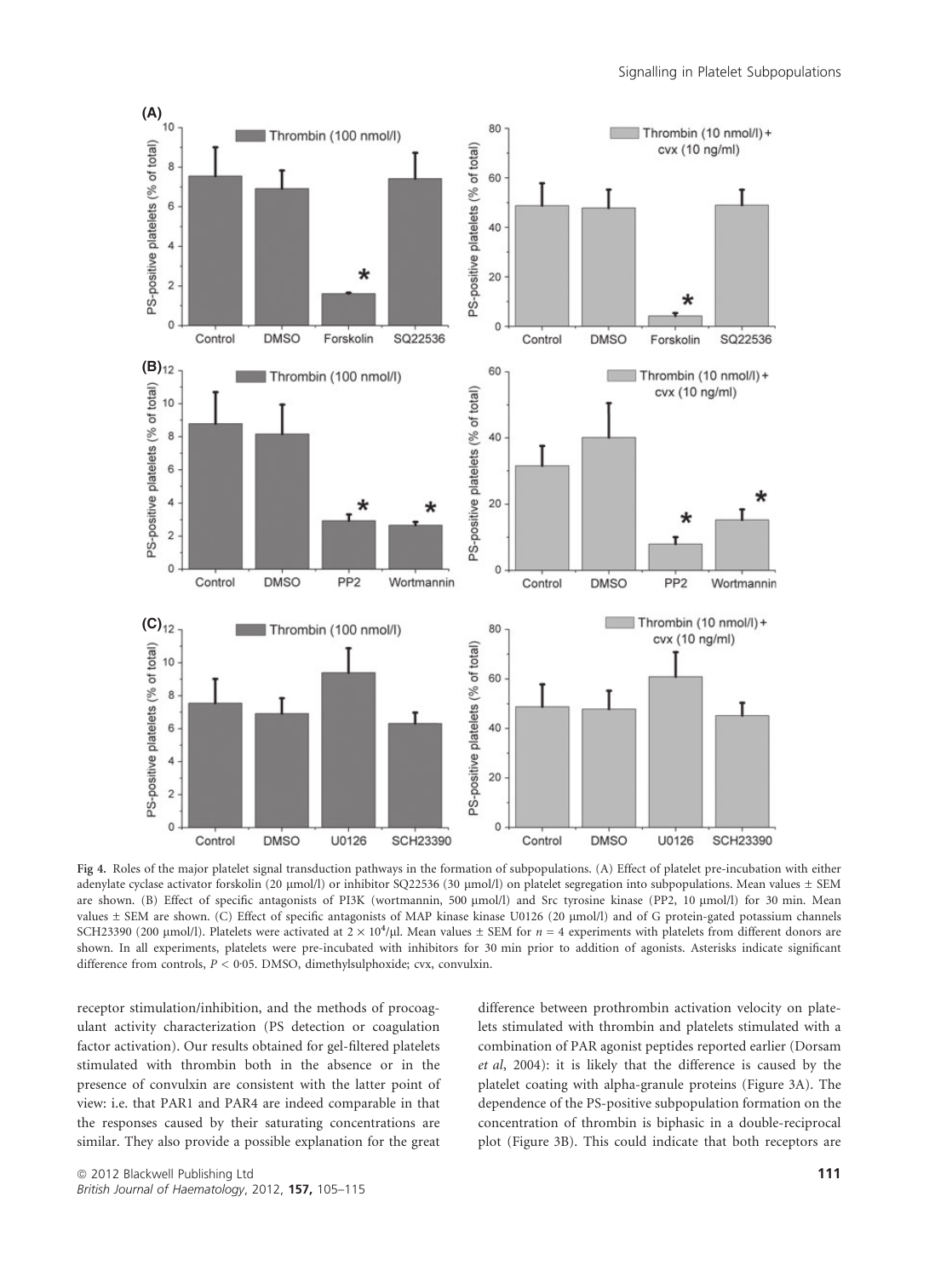

Fig 4. Roles of the major platelet signal transduction pathways in the formation of subpopulations. (A) Effect of platelet pre-incubation with either adenylate cyclase activator forskolin (20 µmol/l) or inhibitor SQ22536 (30 µmol/l) on platelet segregation into subpopulations. Mean values ± SEM are shown. (B) Effect of specific antagonists of PI3K (wortmannin, 500 µmol/l) and Src tyrosine kinase (PP2, 10 µmol/l) for 30 min. Mean values ± SEM are shown. (C) Effect of specific antagonists of MAP kinase kinase U0126 (20 µmol/l) and of G protein-gated potassium channels SCH23390 (200 µmol/l). Platelets were activated at  $2 \times 10^4$ /µl. Mean values  $\pm$  SEM for  $n = 4$  experiments with platelets from different donors are shown. In all experiments, platelets were pre-incubated with inhibitors for 30 min prior to addition of agonists. Asterisks indicate significant difference from controls,  $P < 0.05$ . DMSO, dimethylsulphoxide; cvx, convulxin.

receptor stimulation/inhibition, and the methods of procoagulant activity characterization (PS detection or coagulation factor activation). Our results obtained for gel-filtered platelets stimulated with thrombin both in the absence or in the presence of convulxin are consistent with the latter point of view: i.e. that PAR1 and PAR4 are indeed comparable in that the responses caused by their saturating concentrations are similar. They also provide a possible explanation for the great difference between prothrombin activation velocity on platelets stimulated with thrombin and platelets stimulated with a combination of PAR agonist peptides reported earlier (Dorsam et al, 2004): it is likely that the difference is caused by the platelet coating with alpha-granule proteins (Figure 3A). The dependence of the PS-positive subpopulation formation on the concentration of thrombin is biphasic in a double-reciprocal plot (Figure 3B). This could indicate that both receptors are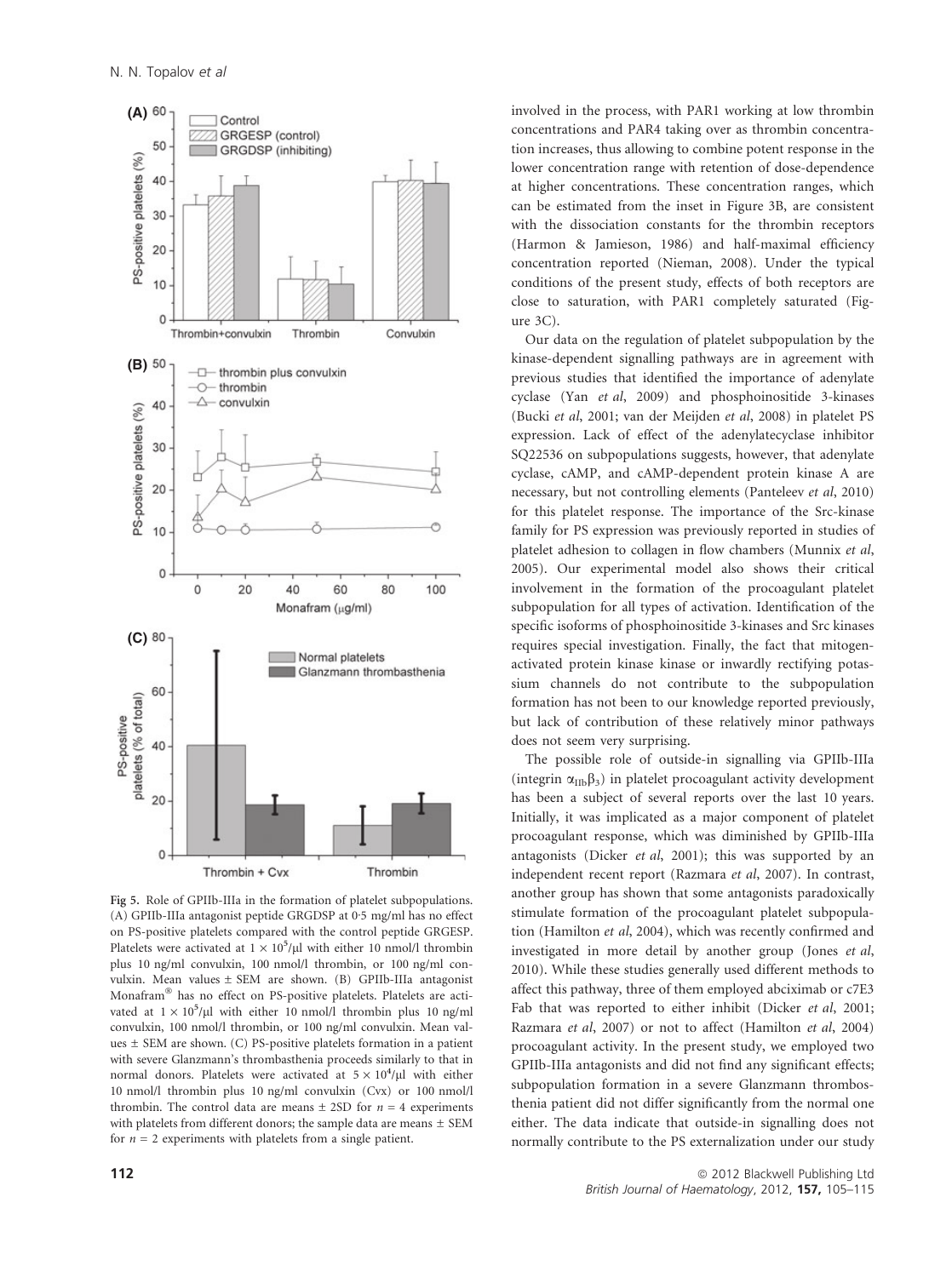

Fig 5. Role of GPIIb-IIIa in the formation of platelet subpopulations. (A) GPIIb-IIIa antagonist peptide GRGDSP at  $0.5$  mg/ml has no effect on PS-positive platelets compared with the control peptide GRGESP. Platelets were activated at  $1 \times 10^5/\mu l$  with either 10 nmol/l thrombin plus 10 ng/ml convulxin, 100 nmol/l thrombin, or 100 ng/ml convulxin. Mean values ± SEM are shown. (B) GPIIb-IIIa antagonist Monafram® has no effect on PS-positive platelets. Platelets are activated at  $1 \times 10^5$ / $\mu$ l with either 10 nmol/l thrombin plus 10 ng/ml convulxin, 100 nmol/l thrombin, or 100 ng/ml convulxin. Mean values  $\pm$  SEM are shown. (C) PS-positive platelets formation in a patient with severe Glanzmann's thrombasthenia proceeds similarly to that in normal donors. Platelets were activated at  $5 \times 10^4/\mu l$  with either 10 nmol/l thrombin plus 10 ng/ml convulxin (Cvx) or 100 nmol/l thrombin. The control data are means  $\pm$  2SD for  $n = 4$  experiments with platelets from different donors; the sample data are means  $\pm$  SEM for  $n = 2$  experiments with platelets from a single patient.

involved in the process, with PAR1 working at low thrombin concentrations and PAR4 taking over as thrombin concentration increases, thus allowing to combine potent response in the lower concentration range with retention of dose-dependence at higher concentrations. These concentration ranges, which can be estimated from the inset in Figure 3B, are consistent with the dissociation constants for the thrombin receptors (Harmon & Jamieson, 1986) and half-maximal efficiency concentration reported (Nieman, 2008). Under the typical conditions of the present study, effects of both receptors are close to saturation, with PAR1 completely saturated (Figure 3C).

Our data on the regulation of platelet subpopulation by the kinase-dependent signalling pathways are in agreement with previous studies that identified the importance of adenylate cyclase (Yan et al, 2009) and phosphoinositide 3-kinases (Bucki et al, 2001; van der Meijden et al, 2008) in platelet PS expression. Lack of effect of the adenylatecyclase inhibitor SQ22536 on subpopulations suggests, however, that adenylate cyclase, cAMP, and cAMP-dependent protein kinase A are necessary, but not controlling elements (Panteleev et al, 2010) for this platelet response. The importance of the Src-kinase family for PS expression was previously reported in studies of platelet adhesion to collagen in flow chambers (Munnix et al, 2005). Our experimental model also shows their critical involvement in the formation of the procoagulant platelet subpopulation for all types of activation. Identification of the specific isoforms of phosphoinositide 3-kinases and Src kinases requires special investigation. Finally, the fact that mitogenactivated protein kinase kinase or inwardly rectifying potassium channels do not contribute to the subpopulation formation has not been to our knowledge reported previously, but lack of contribution of these relatively minor pathways does not seem very surprising.

The possible role of outside-in signalling via GPIIb-IIIa (integrin  $\alpha_{\text{IIb}}\beta_3$ ) in platelet procoagulant activity development has been a subject of several reports over the last 10 years. Initially, it was implicated as a major component of platelet procoagulant response, which was diminished by GPIIb-IIIa antagonists (Dicker et al, 2001); this was supported by an independent recent report (Razmara et al, 2007). In contrast, another group has shown that some antagonists paradoxically stimulate formation of the procoagulant platelet subpopulation (Hamilton et al, 2004), which was recently confirmed and investigated in more detail by another group (Jones et al, 2010). While these studies generally used different methods to affect this pathway, three of them employed abciximab or c7E3 Fab that was reported to either inhibit (Dicker et al, 2001; Razmara et al, 2007) or not to affect (Hamilton et al, 2004) procoagulant activity. In the present study, we employed two GPIIb-IIIa antagonists and did not find any significant effects; subpopulation formation in a severe Glanzmann thrombosthenia patient did not differ significantly from the normal one either. The data indicate that outside-in signalling does not normally contribute to the PS externalization under our study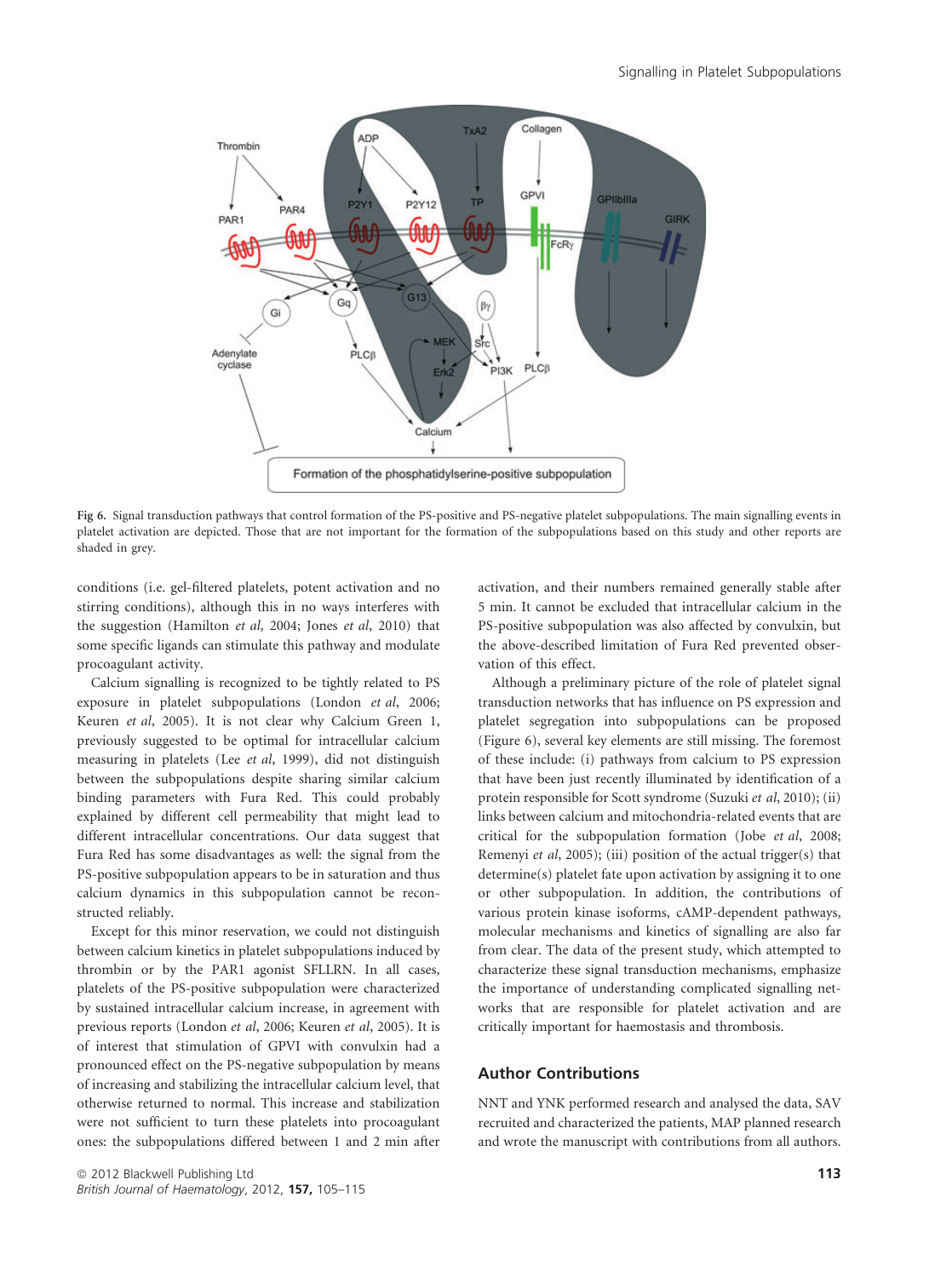

Fig 6. Signal transduction pathways that control formation of the PS-positive and PS-negative platelet subpopulations. The main signalling events in platelet activation are depicted. Those that are not important for the formation of the subpopulations based on this study and other reports are shaded in grey.

conditions (i.e. gel-filtered platelets, potent activation and no stirring conditions), although this in no ways interferes with the suggestion (Hamilton et al, 2004; Jones et al, 2010) that some specific ligands can stimulate this pathway and modulate procoagulant activity.

Calcium signalling is recognized to be tightly related to PS exposure in platelet subpopulations (London et al, 2006; Keuren et al, 2005). It is not clear why Calcium Green 1, previously suggested to be optimal for intracellular calcium measuring in platelets (Lee et al, 1999), did not distinguish between the subpopulations despite sharing similar calcium binding parameters with Fura Red. This could probably explained by different cell permeability that might lead to different intracellular concentrations. Our data suggest that Fura Red has some disadvantages as well: the signal from the PS-positive subpopulation appears to be in saturation and thus calcium dynamics in this subpopulation cannot be reconstructed reliably.

Except for this minor reservation, we could not distinguish between calcium kinetics in platelet subpopulations induced by thrombin or by the PAR1 agonist SFLLRN. In all cases, platelets of the PS-positive subpopulation were characterized by sustained intracellular calcium increase, in agreement with previous reports (London et al, 2006; Keuren et al, 2005). It is of interest that stimulation of GPVI with convulxin had a pronounced effect on the PS-negative subpopulation by means of increasing and stabilizing the intracellular calcium level, that otherwise returned to normal. This increase and stabilization were not sufficient to turn these platelets into procoagulant ones: the subpopulations differed between 1 and 2 min after activation, and their numbers remained generally stable after 5 min. It cannot be excluded that intracellular calcium in the PS-positive subpopulation was also affected by convulxin, but the above-described limitation of Fura Red prevented observation of this effect.

Although a preliminary picture of the role of platelet signal transduction networks that has influence on PS expression and platelet segregation into subpopulations can be proposed (Figure 6), several key elements are still missing. The foremost of these include: (i) pathways from calcium to PS expression that have been just recently illuminated by identification of a protein responsible for Scott syndrome (Suzuki et al, 2010); (ii) links between calcium and mitochondria-related events that are critical for the subpopulation formation (Jobe et al, 2008; Remenyi et al, 2005); (iii) position of the actual trigger(s) that determine(s) platelet fate upon activation by assigning it to one or other subpopulation. In addition, the contributions of various protein kinase isoforms, cAMP-dependent pathways, molecular mechanisms and kinetics of signalling are also far from clear. The data of the present study, which attempted to characterize these signal transduction mechanisms, emphasize the importance of understanding complicated signalling networks that are responsible for platelet activation and are critically important for haemostasis and thrombosis.

## Author Contributions

NNT and YNK performed research and analysed the data, SAV recruited and characterized the patients, MAP planned research and wrote the manuscript with contributions from all authors.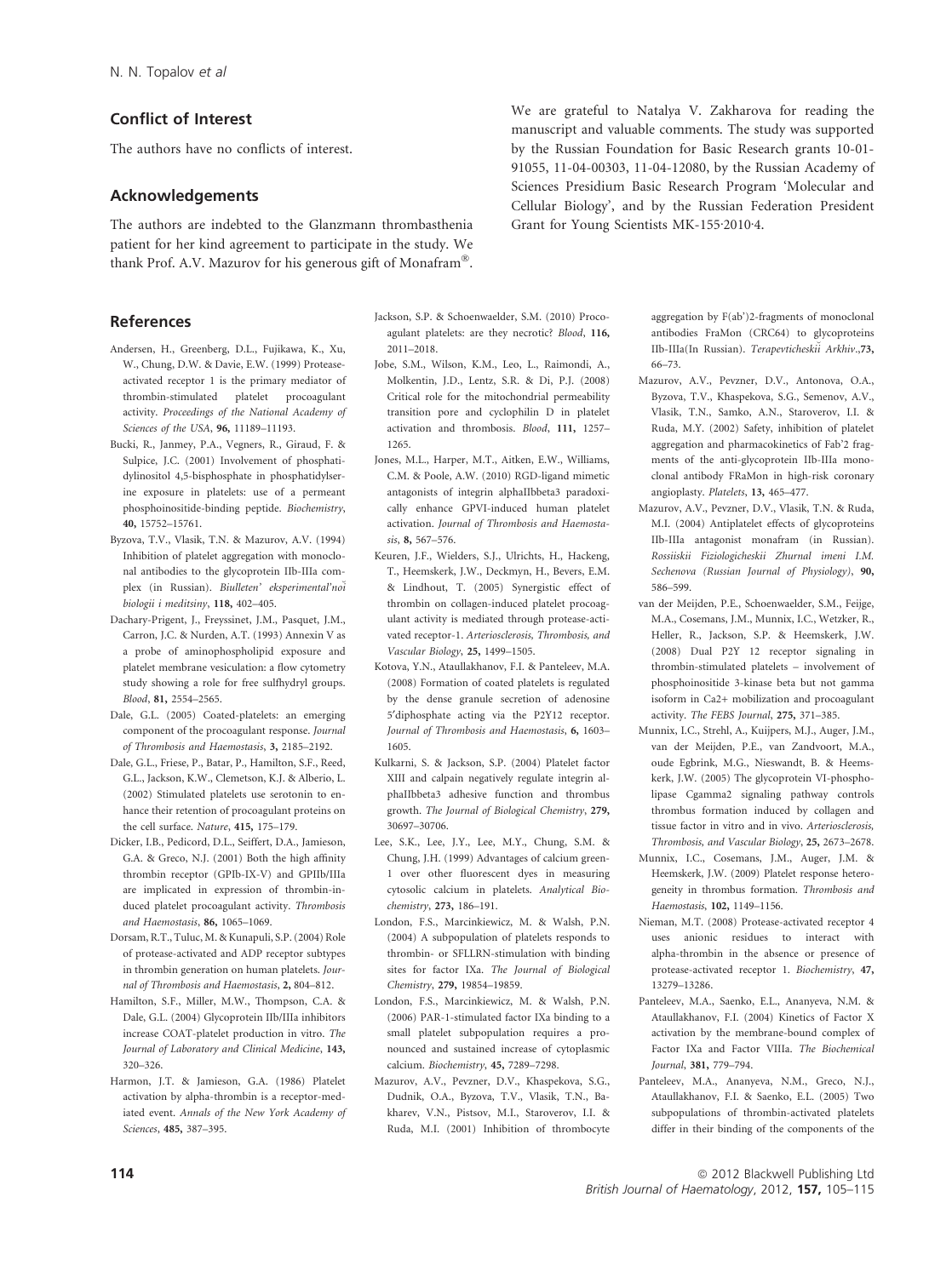## Conflict of Interest

The authors have no conflicts of interest.

## Acknowledgements

The authors are indebted to the Glanzmann thrombasthenia patient for her kind agreement to participate in the study. We thank Prof. A.V. Mazurov for his generous gift of Monafram®.

#### References

- Andersen, H., Greenberg, D.L., Fujikawa, K., Xu, W., Chung, D.W. & Davie, E.W. (1999) Proteaseactivated receptor 1 is the primary mediator of thrombin-stimulated platelet procoagulant activity. Proceedings of the National Academy of Sciences of the USA, 96, 11189–11193.
- Bucki, R., Janmey, P.A., Vegners, R., Giraud, F. & Sulpice, J.C. (2001) Involvement of phosphatidylinositol 4,5-bisphosphate in phosphatidylserine exposure in platelets: use of a permeant phosphoinositide-binding peptide. Biochemistry, 40, 15752–15761.
- Byzova, T.V., Vlasik, T.N. & Mazurov, A.V. (1994) Inhibition of platelet aggregation with monoclonal antibodies to the glycoprotein IIb-IIIa complex (in Russian). Biulleten' eksperimental'noi biologii i meditsiny, 118, 402–405.
- Dachary-Prigent, J., Freyssinet, J.M., Pasquet, J.M., Carron, J.C. & Nurden, A.T. (1993) Annexin V as a probe of aminophospholipid exposure and platelet membrane vesiculation: a flow cytometry study showing a role for free sulfhydryl groups. Blood, 81, 2554–2565.
- Dale, G.L. (2005) Coated-platelets: an emerging component of the procoagulant response. Journal of Thrombosis and Haemostasis, 3, 2185–2192.
- Dale, G.L., Friese, P., Batar, P., Hamilton, S.F., Reed, G.L., Jackson, K.W., Clemetson, K.J. & Alberio, L. (2002) Stimulated platelets use serotonin to enhance their retention of procoagulant proteins on the cell surface. Nature, 415, 175–179.
- Dicker, I.B., Pedicord, D.L., Seiffert, D.A., Jamieson, G.A. & Greco, N.J. (2001) Both the high affinity thrombin receptor (GPIb-IX-V) and GPIIb/IIIa are implicated in expression of thrombin-induced platelet procoagulant activity. Thrombosis and Haemostasis, 86, 1065–1069.
- Dorsam, R.T., Tuluc, M. & Kunapuli, S.P. (2004) Role of protease-activated and ADP receptor subtypes in thrombin generation on human platelets. Journal of Thrombosis and Haemostasis, 2, 804–812.
- Hamilton, S.F., Miller, M.W., Thompson, C.A. & Dale, G.L. (2004) Glycoprotein IIb/IIIa inhibitors increase COAT-platelet production in vitro. The Journal of Laboratory and Clinical Medicine, 143, 320–326.
- Harmon, J.T. & Jamieson, G.A. (1986) Platelet activation by alpha-thrombin is a receptor-mediated event. Annals of the New York Academy of Sciences, 485, 387–395.

Jackson, S.P. & Schoenwaelder, S.M. (2010) Procoagulant platelets: are they necrotic? Blood, 116, 2011–2018.

- Jobe, S.M., Wilson, K.M., Leo, L., Raimondi, A., Molkentin, J.D., Lentz, S.R. & Di, P.J. (2008) Critical role for the mitochondrial permeability transition pore and cyclophilin D in platelet activation and thrombosis. Blood, 111, 1257– 1265.
- Jones, M.L., Harper, M.T., Aitken, E.W., Williams, C.M. & Poole, A.W. (2010) RGD-ligand mimetic antagonists of integrin alphaIIbbeta3 paradoxically enhance GPVI-induced human platelet activation. Journal of Thrombosis and Haemostasis, 8, 567–576.
- Keuren, J.F., Wielders, S.J., Ulrichts, H., Hackeng, T., Heemskerk, J.W., Deckmyn, H., Bevers, E.M. & Lindhout, T. (2005) Synergistic effect of thrombin on collagen-induced platelet procoagulant activity is mediated through protease-activated receptor-1. Arteriosclerosis, Thrombosis, and Vascular Biology, 25, 1499–1505.
- Kotova, Y.N., Ataullakhanov, F.I. & Panteleev, M.A. (2008) Formation of coated platelets is regulated by the dense granule secretion of adenosine 5¢diphosphate acting via the P2Y12 receptor. Journal of Thrombosis and Haemostasis, 6, 1603– 1605.
- Kulkarni, S. & Jackson, S.P. (2004) Platelet factor XIII and calpain negatively regulate integrin alphaIIbbeta3 adhesive function and thrombus growth. The Journal of Biological Chemistry, 279, 30697–30706.
- Lee, S.K., Lee, J.Y., Lee, M.Y., Chung, S.M. & Chung, J.H. (1999) Advantages of calcium green-1 over other fluorescent dyes in measuring cytosolic calcium in platelets. Analytical Biochemistry, 273, 186–191.
- London, F.S., Marcinkiewicz, M. & Walsh, P.N. (2004) A subpopulation of platelets responds to thrombin- or SFLLRN-stimulation with binding sites for factor IXa. The Journal of Biological Chemistry, 279, 19854–19859.
- London, F.S., Marcinkiewicz, M. & Walsh, P.N. (2006) PAR-1-stimulated factor IXa binding to a small platelet subpopulation requires a pronounced and sustained increase of cytoplasmic calcium. Biochemistry, 45, 7289–7298.
- Mazurov, A.V., Pevzner, D.V., Khaspekova, S.G., Dudnik, O.A., Byzova, T.V., Vlasik, T.N., Bakharev, V.N., Pistsov, M.I., Staroverov, I.I. & Ruda, M.I. (2001) Inhibition of thrombocyte

We are grateful to Natalya V. Zakharova for reading the manuscript and valuable comments. The study was supported by the Russian Foundation for Basic Research grants 10-01- 91055, 11-04-00303, 11-04-12080, by the Russian Academy of Sciences Presidium Basic Research Program 'Molecular and Cellular Biology', and by the Russian Federation President Grant for Young Scientists MK-155.2010.4.

> aggregation by F(ab')2-fragments of monoclonal antibodies FraMon (CRC64) to glycoproteins IIb-IIIa(In Russian). Terapevticheskii Arkhiv.,73, 66–73.

- Mazurov, A.V., Pevzner, D.V., Antonova, O.A., Byzova, T.V., Khaspekova, S.G., Semenov, A.V., Vlasik, T.N., Samko, A.N., Staroverov, I.I. & Ruda, M.Y. (2002) Safety, inhibition of platelet aggregation and pharmacokinetics of Fab'2 fragments of the anti-glycoprotein IIb-IIIa monoclonal antibody FRaMon in high-risk coronary angioplasty. Platelets, 13, 465–477.
- Mazurov, A.V., Pevzner, D.V., Vlasik, T.N. & Ruda, M.I. (2004) Antiplatelet effects of glycoproteins IIb-IIIa antagonist monafram (in Russian). Rossiiskii Fiziologicheskii Zhurnal imeni I.M. Sechenova (Russian Journal of Physiology), 90, 586–599.
- van der Meijden, P.E., Schoenwaelder, S.M., Feijge, M.A., Cosemans, J.M., Munnix, I.C., Wetzker, R., Heller, R., Jackson, S.P. & Heemskerk, J.W. (2008) Dual P2Y 12 receptor signaling in thrombin-stimulated platelets – involvement of phosphoinositide 3-kinase beta but not gamma isoform in Ca2+ mobilization and procoagulant activity. The FEBS Journal, 275, 371–385.
- Munnix, I.C., Strehl, A., Kuijpers, M.J., Auger, J.M., van der Meijden, P.E., van Zandvoort, M.A., oude Egbrink, M.G., Nieswandt, B. & Heemskerk, J.W. (2005) The glycoprotein VI-phospholipase Cgamma2 signaling pathway controls thrombus formation induced by collagen and tissue factor in vitro and in vivo. Arteriosclerosis, Thrombosis, and Vascular Biology, 25, 2673–2678.
- Munnix, I.C., Cosemans, J.M., Auger, J.M. & Heemskerk, J.W. (2009) Platelet response heterogeneity in thrombus formation. Thrombosis and Haemostasis, 102, 1149–1156.
- Nieman, M.T. (2008) Protease-activated receptor 4 uses anionic residues to interact with alpha-thrombin in the absence or presence of protease-activated receptor 1. Biochemistry, 47, 13279–13286.
- Panteleev, M.A., Saenko, E.L., Ananyeva, N.M. & Ataullakhanov, F.I. (2004) Kinetics of Factor X activation by the membrane-bound complex of Factor IXa and Factor VIIIa. The Biochemical Journal, 381, 779–794.
- Panteleev, M.A., Ananyeva, N.M., Greco, N.J., Ataullakhanov, F.I. & Saenko, E.L. (2005) Two subpopulations of thrombin-activated platelets differ in their binding of the components of the